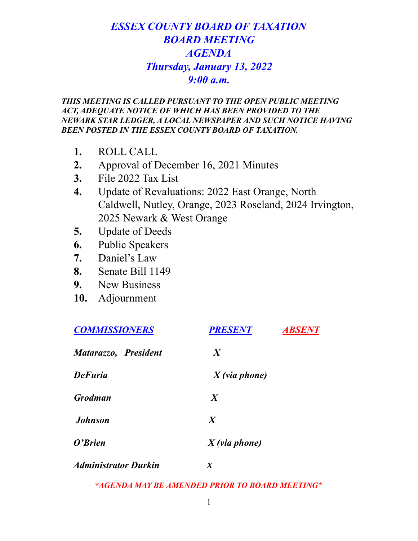# *ESSEX COUNTY BOARD OF TAXATION BOARD MEETING AGENDA Thursday, January 13, 2022 9:00 a.m.*

#### *THIS MEETING IS CALLED PURSUANT TO THE OPEN PUBLIC MEETING ACT, ADEQUATE NOTICE OF WHICH HAS BEEN PROVIDED TO THE NEWARK STAR LEDGER, A LOCAL NEWSPAPER AND SUCH NOTICE HAVING BEEN POSTED IN THE ESSEX COUNTY BOARD OF TAXATION.*

- **1.** ROLL CALL
- **2.** Approval of December 16, 2021 Minutes
- **3.** File 2022 Tax List
- **4.** Update of Revaluations: 2022 East Orange, North Caldwell, Nutley, Orange, 2023 Roseland, 2024 Irvington, 2025 Newark & West Orange
- **5.** Update of Deeds
- **6.** Public Speakers
- **7.** Daniel's Law
- **8.** Senate Bill 1149
- **9.** New Business
- **10.** Adjournment

| <b>COMMISSIONERS</b>        | <b>PRESENT</b>   | <i><b>ABSENT</b></i> |
|-----------------------------|------------------|----------------------|
| Matarazzo, President        | $\boldsymbol{X}$ |                      |
| <b>DeFuria</b>              | $X$ (via phone)  |                      |
| <b>Grodman</b>              | $\boldsymbol{X}$ |                      |
| <b>Johnson</b>              | $\boldsymbol{X}$ |                      |
| O'Brien                     | $X$ (via phone)  |                      |
| <b>Administrator Durkin</b> | X                |                      |

*\*AGENDA MAY BE AMENDED PRIOR TO BOARD MEETING\**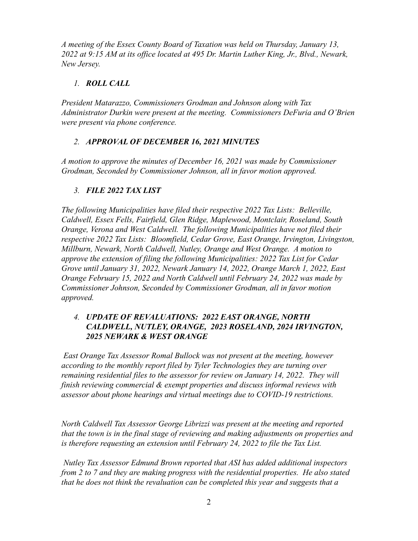*A meeting of the Essex County Board of Taxation was held on Thursday, January 13, 2022 at 9:15 AM at its office located at 495 Dr. Martin Luther King, Jr., Blvd., Newark, New Jersey.*

# *1. ROLL CALL*

*President Matarazzo, Commissioners Grodman and Johnson along with Tax Administrator Durkin were present at the meeting. Commissioners DeFuria and O'Brien were present via phone conference.*

# *2. APPROVAL OF DECEMBER 16, 2021 MINUTES*

*A motion to approve the minutes of December 16, 2021 was made by Commissioner Grodman, Seconded by Commissioner Johnson, all in favor motion approved.*

# *3. FILE 2022 TAX LIST*

*The following Municipalities have filed their respective 2022 Tax Lists: Belleville, Caldwell, Essex Fells, Fairfield, Glen Ridge, Maplewood, Montclair, Roseland, South Orange, Verona and West Caldwell. The following Municipalities have not filed their respective 2022 Tax Lists: Bloomfield, Cedar Grove, East Orange, Irvington, Livingston, Millburn, Newark, North Caldwell, Nutley, Orange and West Orange. A motion to approve the extension of filing the following Municipalities: 2022 Tax List for Cedar Grove until January 31, 2022, Newark January 14, 2022, Orange March 1, 2022, East Orange February 15, 2022 and North Caldwell until February 24, 2022 was made by Commissioner Johnson, Seconded by Commissioner Grodman, all in favor motion approved.*

#### *4. UPDATE OF REVALUATIONS: 2022 EAST ORANGE, NORTH CALDWELL, NUTLEY, ORANGE, 2023 ROSELAND, 2024 IRVINGTON, 2025 NEWARK & WEST ORANGE*

*East Orange Tax Assessor Romal Bullock was not present at the meeting, however according to the monthly report filed by Tyler Technologies they are turning over remaining residential files to the assessor for review on January 14, 2022. They will finish reviewing commercial & exempt properties and discuss informal reviews with assessor about phone hearings and virtual meetings due to COVID-19 restrictions.*

*North Caldwell Tax Assessor George Librizzi was present at the meeting and reported that the town is in the final stage of reviewing and making adjustments on properties and is therefore requesting an extension until February 24, 2022 to file the Tax List.*

*Nutley Tax Assessor Edmund Brown reported that ASI has added additional inspectors from 2 to 7 and they are making progress with the residential properties. He also stated that he does not think the revaluation can be completed this year and suggests that a*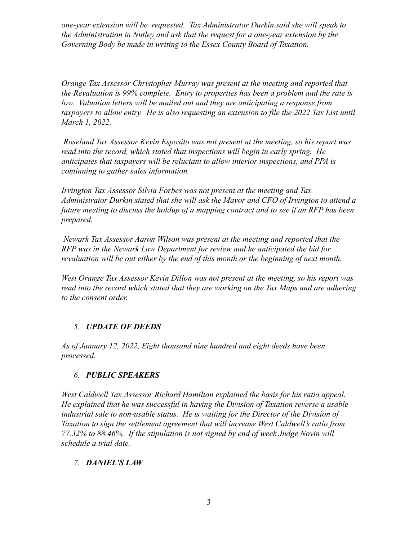*one-year extension will be requested. Tax Administrator Durkin said she will speak to the Administration in Nutley and ask that the request for a one-year extension by the Governing Body be made in writing to the Essex County Board of Taxation.*

*Orange Tax Assessor Christopher Murray was present at the meeting and reported that the Revaluation is 99% complete. Entry to properties has been a problem and the rate is low. Valuation letters will be mailed out and they are anticipating a response from taxpayers to allow entry. He is also requesting an extension to file the 2022 Tax List until March 1, 2022.*

*Roseland Tax Assessor Kevin Esposito was not present at the meeting, so his report was read into the record, which stated that inspections will begin in early spring. He anticipates that taxpayers will be reluctant to allow interior inspections, and PPA is continuing to gather sales information.*

*Irvington Tax Assessor Silvia Forbes was not present at the meeting and Tax Administrator Durkin stated that she will ask the Mayor and CFO of Irvington to attend a future meeting to discuss the holdup of a mapping contract and to see if an RFP has been prepared.*

*Newark Tax Assessor Aaron Wilson was present at the meeting and reported that the RFP was in the Newark Law Department for review and he anticipated the bid for revaluation will be out either by the end of this month or the beginning of next month.*

*West Orange Tax Assessor Kevin Dillon was not present at the meeting, so his report was read into the record which stated that they are working on the Tax Maps and are adhering to the consent order.*

#### *5. UPDATE OF DEEDS*

*As of January 12, 2022, Eight thousand nine hundred and eight deeds have been processed.*

#### *6. PUBLIC SPEAKERS*

*West Caldwell Tax Assessor Richard Hamilton explained the basis for his ratio appeal. He explained that he was successful in having the Division of Taxation reverse a usable industrial sale to non-usable status. He is waiting for the Director of the Division of Taxation to sign the settlement agreement that will increase West Caldwell's ratio from 77.32% to 88.46%. If the stipulation is not signed by end of week Judge Novin will schedule a trial date.*

#### *7. DANIEL'S LAW*